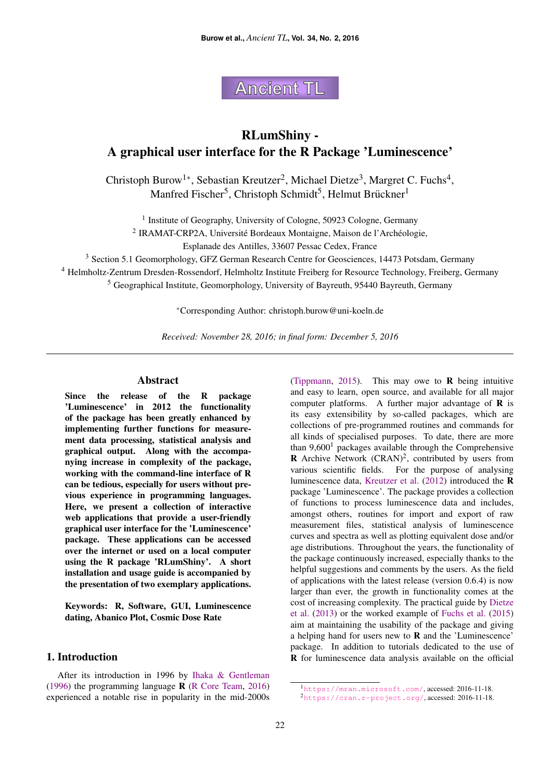**Ancient TL** 

# RLumShiny - A graphical user interface for the R Package 'Luminescence'

Christoph Burow<sup>1\*</sup>, Sebastian Kreutzer<sup>2</sup>, Michael Dietze<sup>3</sup>, Margret C. Fuchs<sup>4</sup>, Manfred Fischer<sup>5</sup>, Christoph Schmidt<sup>5</sup>, Helmut Brückner<sup>1</sup>

<sup>1</sup> Institute of Geography, University of Cologne, 50923 Cologne, Germany

<sup>2</sup> IRAMAT-CRP2A, Université Bordeaux Montaigne, Maison de l'Archéologie,

Esplanade des Antilles, 33607 Pessac Cedex, France

<sup>3</sup> Section 5.1 Geomorphology, GFZ German Research Centre for Geosciences, 14473 Potsdam, Germany

<sup>4</sup> Helmholtz-Zentrum Dresden-Rossendorf, Helmholtz Institute Freiberg for Resource Technology, Freiberg, Germany

<sup>5</sup> Geographical Institute, Geomorphology, University of Bayreuth, 95440 Bayreuth, Germany

<sup>∗</sup>Corresponding Author: christoph.burow@uni-koeln.de

*Received: November 28, 2016; in final form: December 5, 2016*

# Abstract

Since the release of the R package 'Luminescence' in 2012 the functionality of the package has been greatly enhanced by implementing further functions for measurement data processing, statistical analysis and graphical output. Along with the accompanying increase in complexity of the package, working with the command-line interface of R can be tedious, especially for users without previous experience in programming languages. Here, we present a collection of interactive web applications that provide a user-friendly graphical user interface for the 'Luminescence' package. These applications can be accessed over the internet or used on a local computer using the R package 'RLumShiny'. A short installation and usage guide is accompanied by the presentation of two exemplary applications.

Keywords: R, Software, GUI, Luminescence dating, Abanico Plot, Cosmic Dose Rate

# 1. Introduction

After its introduction in 1996 by [Ihaka & Gentleman](#page-9-0) [\(1996\)](#page-9-0) the programming language R [\(R Core Team,](#page-10-0) [2016\)](#page-10-0) experienced a notable rise in popularity in the mid-2000s [\(Tippmann,](#page-10-1) [2015\)](#page-10-1). This may owe to  $\bf{R}$  being intuitive and easy to learn, open source, and available for all major computer platforms. A further major advantage of  $\bf{R}$  is its easy extensibility by so-called packages, which are collections of pre-programmed routines and commands for all kinds of specialised purposes. To date, there are more than  $9,600<sup>1</sup>$  $9,600<sup>1</sup>$  $9,600<sup>1</sup>$  packages available through the Comprehensive **R** Archive Network  $(CRAN)^2$  $(CRAN)^2$ , contributed by users from various scientific fields. For the purpose of analysing luminescence data, [Kreutzer et al.](#page-10-2) [\(2012\)](#page-10-2) introduced the R package 'Luminescence'. The package provides a collection of functions to process luminescence data and includes, amongst others, routines for import and export of raw measurement files, statistical analysis of luminescence curves and spectra as well as plotting equivalent dose and/or age distributions. Throughout the years, the functionality of the package continuously increased, especially thanks to the helpful suggestions and comments by the users. As the field of applications with the latest release (version 0.6.4) is now larger than ever, the growth in functionality comes at the cost of increasing complexity. The practical guide by [Dietze](#page-9-1) [et al.](#page-9-1) [\(2013\)](#page-9-1) or the worked example of [Fuchs et al.](#page-9-2) [\(2015\)](#page-9-2) aim at maintaining the usability of the package and giving a helping hand for users new to R and the 'Luminescence' package. In addition to tutorials dedicated to the use of R for luminescence data analysis available on the official

<span id="page-0-0"></span><sup>1</sup><https://mran.microsoft.com/>, accessed: 2016-11-18.

<span id="page-0-1"></span><sup>2</sup><https://cran.r-project.org/>, accessed: 2016-11-18.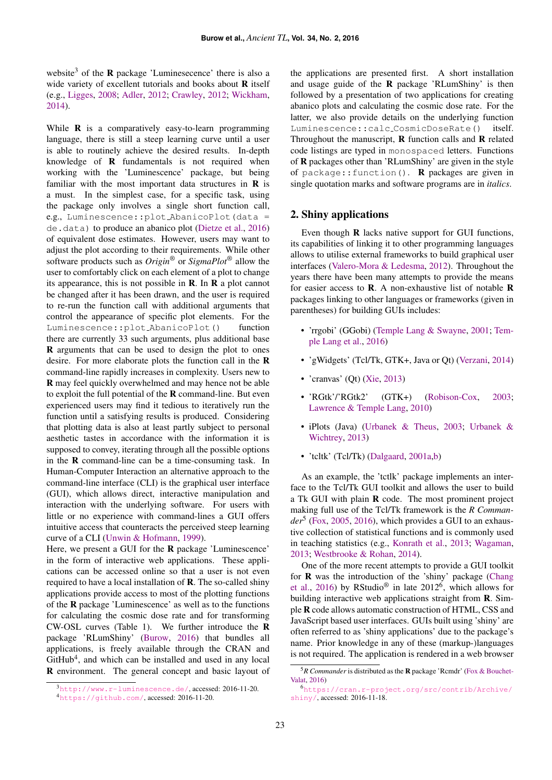website<sup>[3](#page-1-0)</sup> of the **R** package 'Luminesecence' there is also a wide variety of excellent tutorials and books about R itself (e.g., [Ligges,](#page-10-3) [2008;](#page-10-3) [Adler,](#page-9-3) [2012;](#page-9-3) [Crawley,](#page-9-4) [2012;](#page-9-4) [Wickham,](#page-10-4) [2014\)](#page-10-4).

While **R** is a comparatively easy-to-learn programming language, there is still a steep learning curve until a user is able to routinely achieve the desired results. In-depth knowledge of R fundamentals is not required when working with the 'Luminescence' package, but being familiar with the most important data structures in  **is** a must. In the simplest case, for a specific task, using the package only involves a single short function call, e.g., Luminescence::plot AbanicoPlot(data = de.data) to produce an abanico plot [\(Dietze et al.,](#page-9-5) [2016\)](#page-9-5) of equivalent dose estimates. However, users may want to adjust the plot according to their requirements. While other software products such as *Origin*® or *SigmaPlot*® allow the user to comfortably click on each element of a plot to change its appearance, this is not possible in  $\bf{R}$ . In  $\bf{R}$  a plot cannot be changed after it has been drawn, and the user is required to re-run the function call with additional arguments that control the appearance of specific plot elements. For the Luminescence::plot AbanicoPlot() function there are currently 33 such arguments, plus additional base R arguments that can be used to design the plot to ones desire. For more elaborate plots the function call in the R command-line rapidly increases in complexity. Users new to R may feel quickly overwhelmed and may hence not be able to exploit the full potential of the R command-line. But even experienced users may find it tedious to iteratively run the function until a satisfying results is produced. Considering that plotting data is also at least partly subject to personal aesthetic tastes in accordance with the information it is supposed to convey, iterating through all the possible options in the  $\bf{R}$  command-line can be a time-consuming task. In Human-Computer Interaction an alternative approach to the command-line interface (CLI) is the graphical user interface (GUI), which allows direct, interactive manipulation and interaction with the underlying software. For users with little or no experience with command-lines a GUI offers intuitive access that counteracts the perceived steep learning curve of a CLI [\(Unwin & Hofmann,](#page-10-5) [1999\)](#page-10-5).

Here, we present a GUI for the R package 'Luminescence' in the form of interactive web applications. These applications can be accessed online so that a user is not even required to have a local installation of R. The so-called shiny applications provide access to most of the plotting functions of the R package 'Luminescence' as well as to the functions for calculating the cosmic dose rate and for transforming CW-OSL curves (Table [1\)](#page-2-0). We further introduce the R package 'RLumShiny' [\(Burow,](#page-9-6) [2016\)](#page-9-6) that bundles all applications, is freely available through the CRAN and GitHub<sup>[4](#page-1-1)</sup>, and which can be installed and used in any local R environment. The general concept and basic layout of

the applications are presented first. A short installation and usage guide of the  $R$  package 'RLumShiny' is then followed by a presentation of two applications for creating abanico plots and calculating the cosmic dose rate. For the latter, we also provide details on the underlying function Luminescence::calc CosmicDoseRate() itself. Throughout the manuscript,  $\bf{R}$  function calls and  $\bf{R}$  related code listings are typed in monospaced letters. Functions of R packages other than 'RLumShiny' are given in the style of package:: function(). **R** packages are given in single quotation marks and software programs are in *italics*.

# 2. Shiny applications

Even though R lacks native support for GUI functions, its capabilities of linking it to other programming languages allows to utilise external frameworks to build graphical user interfaces [\(Valero-Mora & Ledesma,](#page-10-6) [2012\)](#page-10-6). Throughout the years there have been many attempts to provide the means for easier access to R. A non-exhaustive list of notable R packages linking to other languages or frameworks (given in parentheses) for building GUIs includes:

- 'rrgobi' (GGobi) [\(Temple Lang & Swayne,](#page-10-7) [2001;](#page-10-7) [Tem](#page-10-8)[ple Lang et al.,](#page-10-8) [2016\)](#page-10-8)
- 'gWidgets' (Tcl/Tk, GTK+, Java or Qt) [\(Verzani,](#page-10-9) [2014\)](#page-10-9)
- 'cranvas' (Qt) [\(Xie,](#page-10-10) [2013\)](#page-10-10)
- 'RGtk'/'RGtk2' (GTK+) [\(Robison-Cox,](#page-10-11) [2003;](#page-10-11) [Lawrence & Temple Lang,](#page-10-12) [2010\)](#page-10-12)
- iPlots (Java) [\(Urbanek & Theus,](#page-10-13) [2003;](#page-10-13) [Urbanek &](#page-10-14) [Wichtrey,](#page-10-14) [2013\)](#page-10-14)
- 'tcltk' (Tcl/Tk) [\(Dalgaard,](#page-9-7) [2001a](#page-9-7)[,b\)](#page-9-8)

As an example, the 'tctlk' package implements an interface to the Tcl/Tk GUI toolkit and allows the user to build a Tk GUI with plain R code. The most prominent project making full use of the Tcl/Tk framework is the *R Commander*[5](#page-1-2) [\(Fox,](#page-9-9) [2005,](#page-9-9) [2016\)](#page-9-10), which provides a GUI to an exhaustive collection of statistical functions and is commonly used in teaching statistics (e.g., [Konrath et al.,](#page-9-11) [2013;](#page-9-11) [Wagaman,](#page-10-15) [2013;](#page-10-15) [Westbrooke & Rohan,](#page-10-16) [2014\)](#page-10-16).

One of the more recent attempts to provide a GUI toolkit for R was the introduction of the 'shiny' package [\(Chang](#page-9-12) [et al.,](#page-9-12) [2016\)](#page-9-12) by RStudio<sup>®</sup> in late 2012<sup>[6](#page-1-3)</sup>, which allows for building interactive web applications straight from R. Simple R code allows automatic construction of HTML, CSS and JavaScript based user interfaces. GUIs built using 'shiny' are often referred to as 'shiny applications' due to the package's name. Prior knowledge in any of these (markup-)languages is not required. The application is rendered in a web browser

<span id="page-1-0"></span><sup>3</sup><http://www.r-luminescence.de/>, accessed: 2016-11-20.

<span id="page-1-1"></span><sup>4</sup><https://github.com/>, accessed: 2016-11-20.

<span id="page-1-2"></span> ${}^{5}R$  Commander is distributed as the **R** package 'Rcmdr' [\(Fox & Bouchet-](#page-9-13)[Valat,](#page-9-13) [2016\)](#page-9-13)

<span id="page-1-3"></span><sup>6</sup>[https://cran.r-project.org/src/contrib/Archive/](https://cran.r-project.org/src/contrib/Archive/shiny/) [shiny/](https://cran.r-project.org/src/contrib/Archive/shiny/), accessed: 2016-11-18.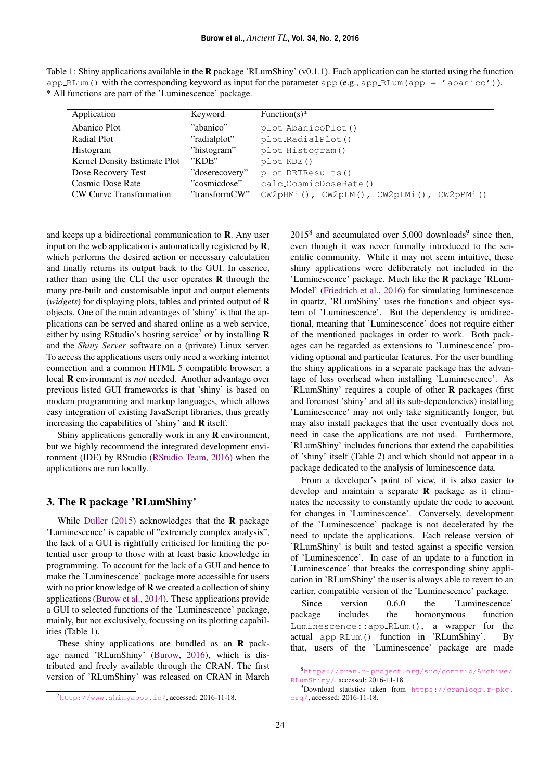<span id="page-2-0"></span>

| Table 1: Shiny applications available in the <b>R</b> package 'RLumShiny' (v0.1.1). Each application can be started using the function |
|----------------------------------------------------------------------------------------------------------------------------------------|
| $app_RLum()$ with the corresponding keyword as input for the parameter app (e.g., app_RLum (app = 'abanico')).                         |
| * All functions are part of the 'Luminescence' package.                                                                                |

| Application                    | Keyword        | Function(s)*                              |
|--------------------------------|----------------|-------------------------------------------|
| Abanico Plot                   | "abanico"      | plot_AbanicoPlot()                        |
| Radial Plot                    | "radialplot"   | plot_RadialPlot()                         |
| Histogram                      | "histogram"    | plot_Histogram()                          |
| Kernel Density Estimate Plot   | "KDE"          | $plot_KDE()$                              |
| Dose Recovery Test             | "doserecovery" | plot_DRTResults()                         |
| Cosmic Dose Rate               | "cosmicdose"   | calc_CosmicDoseRate()                     |
| <b>CW Curve Transformation</b> | "transformCW"  | CW2pHMi(), CW2pLM(), CW2pLMi(), CW2pPMi() |

and keeps up a bidirectional communication to R. Any user input on the web application is automatically registered by **,** which performs the desired action or necessary calculation and finally returns its output back to the GUI. In essence, rather than using the CLI the user operates  **through the** many pre-built and customisable input and output elements (*widgets*) for displaying plots, tables and printed output of R objects. One of the main advantages of 'shiny' is that the applications can be served and shared online as a web service, either by using RStudio's hosting service<sup>[7](#page-2-1)</sup> or by installing  $$ and the *Shiny Server* software on a (private) Linux server. To access the applications users only need a working internet connection and a common HTML 5 compatible browser; a local R environment is *not* needed. Another advantage over previous listed GUI frameworks is that 'shiny' is based on modern programming and markup languages, which allows easy integration of existing JavaScript libraries, thus greatly increasing the capabilities of 'shiny' and R itself.

Shiny applications generally work in any  **environment,** but we highly recommend the integrated development environment (IDE) by RStudio [\(RStudio Team,](#page-10-17) [2016\)](#page-10-17) when the applications are run locally.

# 3. The R package 'RLumShiny'

While [Duller](#page-9-14) [\(2015\)](#page-9-14) acknowledges that the  $\bf{R}$  package 'Luminescence' is capable of "extremely complex analysis", the lack of a GUI is rightfully criticised for limiting the potential user group to those with at least basic knowledge in programming. To account for the lack of a GUI and hence to make the 'Luminescence' package more accessible for users with no prior knowledge of  $\bf{R}$  we created a collection of shiny applications [\(Burow et al.,](#page-9-15) [2014\)](#page-9-15). These applications provide a GUI to selected functions of the 'Luminescence' package, mainly, but not exclusively, focussing on its plotting capabilities (Table [1\)](#page-2-0).

These shiny applications are bundled as an **R** package named 'RLumShiny' [\(Burow,](#page-9-6) [2016\)](#page-9-6), which is distributed and freely available through the CRAN. The first version of 'RLumShiny' was released on CRAN in March

 $2015<sup>8</sup>$  $2015<sup>8</sup>$  $2015<sup>8</sup>$  and accumulated over 5,000 downloads<sup>[9](#page-2-3)</sup> since then, even though it was never formally introduced to the scientific community. While it may not seem intuitive, these shiny applications were deliberately not included in the 'Luminescence' package. Much like the R package 'RLum-Model' [\(Friedrich et al.,](#page-9-16) [2016\)](#page-9-16) for simulating luminescence in quartz, 'RLumShiny' uses the functions and object system of 'Luminescence'. But the dependency is unidirectional, meaning that 'Luminescence' does not require either of the mentioned packages in order to work. Both packages can be regarded as extensions to 'Luminescence' providing optional and particular features. For the user bundling the shiny applications in a separate package has the advantage of less overhead when installing 'Luminescence'. As 'RLumShiny' requires a couple of other R packages (first and foremost 'shiny' and all its sub-dependencies) installing 'Luminescence' may not only take significantly longer, but may also install packages that the user eventually does not need in case the applications are not used. Furthermore, 'RLumShiny' includes functions that extend the capabilities of 'shiny' itself (Table [2\)](#page-3-0) and which should not appear in a package dedicated to the analysis of luminescence data.

From a developer's point of view, it is also easier to develop and maintain a separate R package as it eliminates the necessity to constantly update the code to account for changes in 'Luminescence'. Conversely, development of the 'Luminescence' package is not decelerated by the need to update the applications. Each release version of 'RLumShiny' is built and tested against a specific version of 'Luminescence'. In case of an update to a function in 'Luminescence' that breaks the corresponding shiny application in 'RLumShiny' the user is always able to revert to an earlier, compatible version of the 'Luminescence' package.

Since version 0.6.0 the 'Luminescence' package includes the homonymous function Luminescence::app RLum(), a wrapper for the actual app RLum() function in 'RLumShiny'. By that, users of the 'Luminescence' package are made

<span id="page-2-1"></span> $7$ <http://www.shinyapps.io/>, accessed: 2016-11-18.

<span id="page-2-2"></span><sup>8</sup>[https://cran.r-project.org/src/contrib/Archive/](https://cran.r-project.org/src/contrib/Archive/RLumShiny/) [RLumShiny/](https://cran.r-project.org/src/contrib/Archive/RLumShiny/), accessed: 2016-11-18.

<span id="page-2-3"></span><sup>9</sup>Download statistics taken from [https://cranlogs.r-pkg.](https://cranlogs.r-pkg.org/) [org/](https://cranlogs.r-pkg.org/), accessed: 2016-11-18.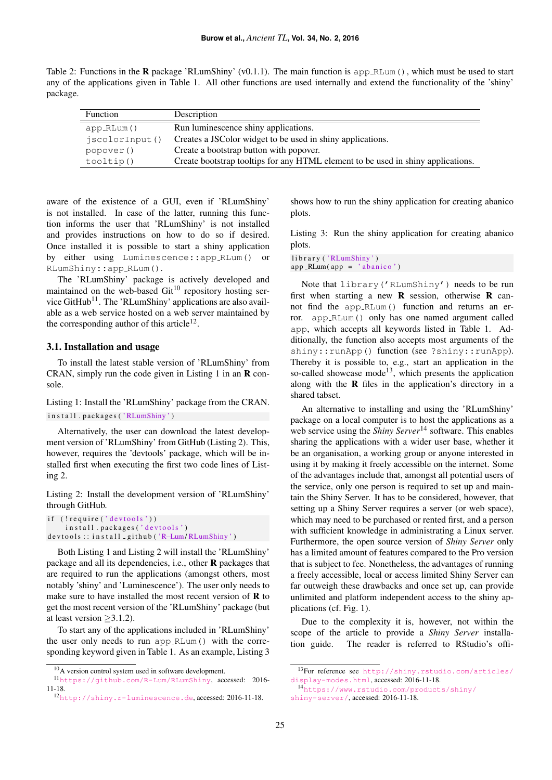<span id="page-3-0"></span>Table 2: Functions in the **R** package 'RLumShiny' (v0.1.1). The main function is app RLum(), which must be used to start any of the applications given in Table [1.](#page-2-0) All other functions are used internally and extend the functionality of the 'shiny' package.

| Function       | Description                                                                      |
|----------------|----------------------------------------------------------------------------------|
| app_RLum()     | Run luminescence shiny applications.                                             |
| jscolorInput() | Creates a JSC olor widget to be used in shiny applications.                      |
| popover()      | Create a bootstrap button with popover.                                          |
| tooltip()      | Create bootstrap tooltips for any HTML element to be used in shiny applications. |

aware of the existence of a GUI, even if 'RLumShiny' is not installed. In case of the latter, running this function informs the user that 'RLumShiny' is not installed and provides instructions on how to do so if desired. Once installed it is possible to start a shiny application by either using Luminescence::app RLum() or RLumShiny::app RLum().

The 'RLumShiny' package is actively developed and maintained on the web-based  $\text{Git}^{10}$  $\text{Git}^{10}$  $\text{Git}^{10}$  repository hosting ser-vice GitHub<sup>[11](#page-3-2)</sup>. The 'RLumShiny' applications are also available as a web service hosted on a web server maintained by the corresponding author of this article<sup>[12](#page-3-3)</sup>.

#### 3.1. Installation and usage

To install the latest stable version of 'RLumShiny' from CRAN, simply run the code given in Listing [1](#page-3-4) in an  $\bf{R}$  console.

<span id="page-3-4"></span>Listing 1: Install the 'RLumShiny' package from the CRAN. in stall.packages ('RLumShiny')

Alternatively, the user can download the latest development version of 'RLumShiny' from GitHub (Listing [2\)](#page-3-5). This, however, requires the 'devtools' package, which will be installed first when executing the first two code lines of Listing [2.](#page-3-5)

<span id="page-3-5"></span>Listing 2: Install the development version of 'RLumShiny' through GitHub.

```
(! r e qui r e ( ' d e v t o o l s ' ) )
      in stall.packages ('devtools')
d e v t o o l s : : i n s t a l l _ g i t h u b ( 'R-Lum/RLumShiny')
```
Both Listing [1](#page-3-4) and Listing [2](#page-3-5) will install the 'RLumShiny' package and all its dependencies, i.e., other R packages that are required to run the applications (amongst others, most notably 'shiny' and 'Luminescence'). The user only needs to make sure to have installed the most recent version of  **to** get the most recent version of the 'RLumShiny' package (but at least version  $>3.1.2$ ).

To start any of the applications included in 'RLumShiny' the user only needs to run app RLum() with the corresponding keyword given in Table [1.](#page-2-0) As an example, Listing [3](#page-3-6)

shows how to run the shiny application for creating abanico plots.

<span id="page-3-6"></span>Listing 3: Run the shiny application for creating abanico plots.

library ('RLumShiny')  $app_RLum(ap = 'abanico')$ 

Note that library('RLumShiny') needs to be run first when starting a new  $\bf{R}$  session, otherwise  $\bf{R}$  cannot find the app RLum() function and returns an error. app RLum() only has one named argument called app, which accepts all keywords listed in Table [1.](#page-2-0) Additionally, the function also accepts most arguments of the shiny::runApp() function (see ?shiny::runApp). Thereby it is possible to, e.g., start an application in the so-called showcase mode<sup>[13](#page-3-7)</sup>, which presents the application along with the  $\bf{R}$  files in the application's directory in a shared tabset.

An alternative to installing and using the 'RLumShiny' package on a local computer is to host the applications as a web service using the *Shiny Server*<sup>[14](#page-3-8)</sup> software. This enables sharing the applications with a wider user base, whether it be an organisation, a working group or anyone interested in using it by making it freely accessible on the internet. Some of the advantages include that, amongst all potential users of the service, only one person is required to set up and maintain the Shiny Server. It has to be considered, however, that setting up a Shiny Server requires a server (or web space), which may need to be purchased or rented first, and a person with sufficient knowledge in administrating a Linux server. Furthermore, the open source version of *Shiny Server* only has a limited amount of features compared to the Pro version that is subject to fee. Nonetheless, the advantages of running a freely accessible, local or access limited Shiny Server can far outweigh these drawbacks and once set up, can provide unlimited and platform independent access to the shiny applications (cf. Fig. [1\)](#page-4-0).

Due to the complexity it is, however, not within the scope of the article to provide a *Shiny Server* installation guide. The reader is referred to RStudio's offi-

<span id="page-3-7"></span><sup>13</sup>For reference see [http://shiny.rstudio.com/articles/](http://shiny.rstudio.com/articles/display-modes.html) [display-modes.html](http://shiny.rstudio.com/articles/display-modes.html), accessed: 2016-11-18.

<span id="page-3-2"></span><span id="page-3-1"></span><sup>10</sup>A version control system used in software development.

<sup>11</sup><https://github.com/R-Lum/RLumShiny>, accessed: 2016- 11-18.

<span id="page-3-3"></span><sup>12</sup><http://shiny.r-luminescence.de>, accessed: 2016-11-18.

<span id="page-3-8"></span><sup>14</sup>[https://www.rstudio.com/products/shiny/](https://www.rstudio.com/products/shiny/shiny-server/) [shiny-server/](https://www.rstudio.com/products/shiny/shiny-server/), accessed: 2016-11-18.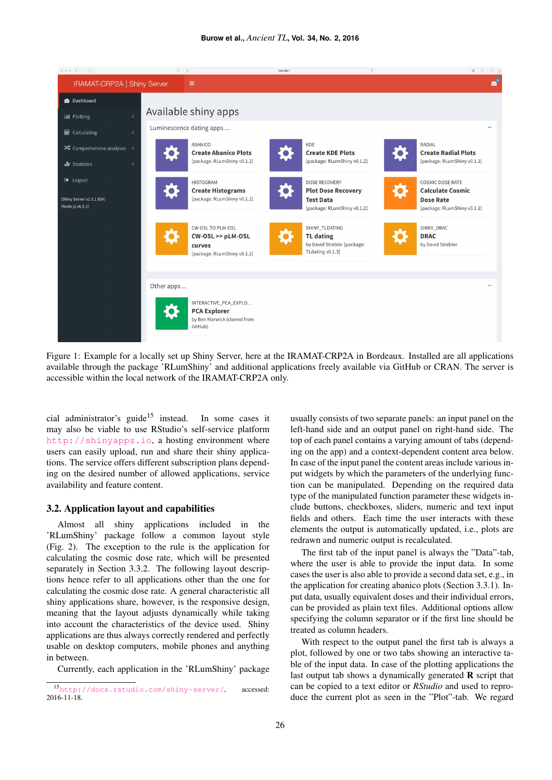<span id="page-4-0"></span>

Figure 1: Example for a locally set up Shiny Server, here at the IRAMAT-CRP2A in Bordeaux. Installed are all applications available through the package 'RLumShiny' and additional applications freely available via GitHub or CRAN. The server is accessible within the local network of the IRAMAT-CRP2A only.

cial administrator's guide<sup>[15](#page-4-1)</sup> instead. In some cases it may also be viable to use RStudio's self-service platform <http://shinyapps.io>, a hosting environment where users can easily upload, run and share their shiny applications. The service offers different subscription plans depending on the desired number of allowed applications, service availability and feature content.

#### 3.2. Application layout and capabilities

Almost all shiny applications included in the 'RLumShiny' package follow a common layout style (Fig. [2\)](#page-5-0). The exception to the rule is the application for calculating the cosmic dose rate, which will be presented separately in Section [3.3.2.](#page-7-0) The following layout descriptions hence refer to all applications other than the one for calculating the cosmic dose rate. A general characteristic all shiny applications share, however, is the responsive design, meaning that the layout adjusts dynamically while taking into account the characteristics of the device used. Shiny applications are thus always correctly rendered and perfectly usable on desktop computers, mobile phones and anything in between.

Currently, each application in the 'RLumShiny' package

usually consists of two separate panels: an input panel on the left-hand side and an output panel on right-hand side. The top of each panel contains a varying amount of tabs (depending on the app) and a context-dependent content area below. In case of the input panel the content areas include various input widgets by which the parameters of the underlying function can be manipulated. Depending on the required data type of the manipulated function parameter these widgets include buttons, checkboxes, sliders, numeric and text input fields and others. Each time the user interacts with these elements the output is automatically updated, i.e., plots are redrawn and numeric output is recalculated.

The first tab of the input panel is always the "Data"-tab, where the user is able to provide the input data. In some cases the user is also able to provide a second data set, e.g., in the application for creating abanico plots (Section [3.3.1\)](#page-5-1). Input data, usually equivalent doses and their individual errors, can be provided as plain text files. Additional options allow specifying the column separator or if the first line should be treated as column headers.

With respect to the output panel the first tab is always a plot, followed by one or two tabs showing an interactive table of the input data. In case of the plotting applications the last output tab shows a dynamically generated  $\bf{R}$  script that can be copied to a text editor or *RStudio* and used to reproduce the current plot as seen in the "Plot"-tab. We regard

<span id="page-4-1"></span><sup>15</sup><http://docs.rstudio.com/shiny-server/>, accessed: 2016-11-18.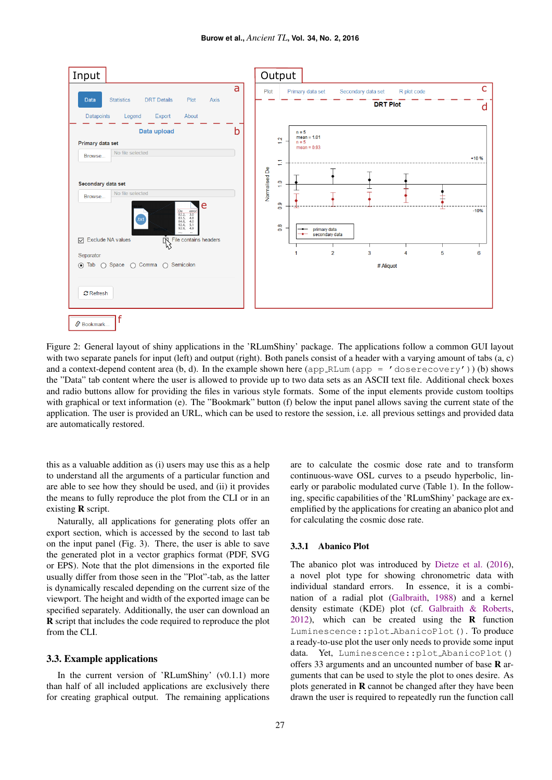<span id="page-5-0"></span>

Figure 2: General layout of shiny applications in the 'RLumShiny' package. The applications follow a common GUI layout with two separate panels for input (left) and output (right). Both panels consist of a header with a varying amount of tabs (a, c) and a context-depend content area (b, d). In the example shown here (app RLum(app =  $'$  doserecovery')) (b) shows the "Data" tab content where the user is allowed to provide up to two data sets as an ASCII text file. Additional check boxes and radio buttons allow for providing the files in various style formats. Some of the input elements provide custom tooltips with graphical or text information (e). The "Bookmark" button (f) below the input panel allows saving the current state of the application. The user is provided an URL, which can be used to restore the session, i.e. all previous settings and provided data are automatically restored.

this as a valuable addition as (i) users may use this as a help to understand all the arguments of a particular function and are able to see how they should be used, and (ii) it provides the means to fully reproduce the plot from the CLI or in an existing R script.

Naturally, all applications for generating plots offer an export section, which is accessed by the second to last tab on the input panel (Fig. [3\)](#page-6-0). There, the user is able to save the generated plot in a vector graphics format (PDF, SVG or EPS). Note that the plot dimensions in the exported file usually differ from those seen in the "Plot"-tab, as the latter is dynamically rescaled depending on the current size of the viewport. The height and width of the exported image can be specified separately. Additionally, the user can download an R script that includes the code required to reproduce the plot from the CLI.

## 3.3. Example applications

In the current version of 'RLumShiny' (v0.1.1) more than half of all included applications are exclusively there for creating graphical output. The remaining applications are to calculate the cosmic dose rate and to transform continuous-wave OSL curves to a pseudo hyperbolic, linearly or parabolic modulated curve (Table [1\)](#page-2-0). In the following, specific capabilities of the 'RLumShiny' package are exemplified by the applications for creating an abanico plot and for calculating the cosmic dose rate.

#### <span id="page-5-1"></span>3.3.1 Abanico Plot

The abanico plot was introduced by [Dietze et al.](#page-9-5) [\(2016\)](#page-9-5), a novel plot type for showing chronometric data with individual standard errors. In essence, it is a combination of a radial plot [\(Galbraith,](#page-9-17) [1988\)](#page-9-17) and a kernel density estimate (KDE) plot (cf. [Galbraith & Roberts,](#page-9-18)  $2012$ ), which can be created using the **R** function Luminescence::plot AbanicoPlot(). To produce a ready-to-use plot the user only needs to provide some input data. Yet, Luminescence::plot AbanicoPlot() offers 33 arguments and an uncounted number of base R arguments that can be used to style the plot to ones desire. As plots generated in R cannot be changed after they have been drawn the user is required to repeatedly run the function call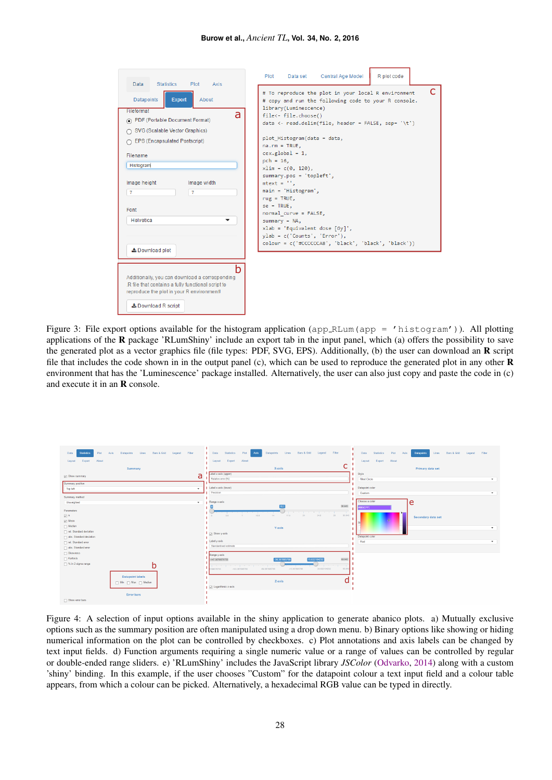#### **Burow et al.,** *Ancient TL***, Vol. 34, No. 2, 2016**

<span id="page-6-0"></span>

| Data<br>Statistics<br>Plot<br>Axis                                                                                                                                                                                                                                                                                                                                                                                                                                                                              | R plot code<br>Data set Central Age Model<br>Plot                                                                                                                                                                                                                                                                                                                                                                                                                                                                                                                                                                                 |
|-----------------------------------------------------------------------------------------------------------------------------------------------------------------------------------------------------------------------------------------------------------------------------------------------------------------------------------------------------------------------------------------------------------------------------------------------------------------------------------------------------------------|-----------------------------------------------------------------------------------------------------------------------------------------------------------------------------------------------------------------------------------------------------------------------------------------------------------------------------------------------------------------------------------------------------------------------------------------------------------------------------------------------------------------------------------------------------------------------------------------------------------------------------------|
| <b>Datapoints</b><br><b>Export</b><br>About<br>Fileformat<br>a<br>PDF (Portable Document Format)<br>○ SVG (Scalable Vector Graphics)<br>◯ EPS (Encapsulated Postscript)<br>Filename<br>Histogram<br>Image height<br>Image width<br>$\overline{7}$<br>$\overline{7}$<br>Font<br>Helvetica<br>▼<br><b>≛</b> Download plot<br>h<br>Additionally, you can download a corresponding<br>.R file that contains a fully functional script to<br>reproduce the plot in your R environment!<br><b>上</b> Download R script | C<br># To reproduce the plot in your local R environment<br># copy and run the following code to your R console.<br>library(Luminescence)<br>file<- file.choose()<br>data <- read.delim(file, header = FALSE, sep= '\t')<br>plot Histogram(data = data,<br>$na.rm = TRUE.$<br>$cex.global = 1,$<br>$pch = 16$ ,<br>$xlim = c(0, 120)$ ,<br>summary.pos = 'topleft',<br>$mtext{text} = ''.$<br>$main = 'Historyram',$<br>$rug = TRUE,$<br>$se = TRUE$ .<br>normal curve = FALSE,<br>$summary = NA$ ,<br>$xlab = 'Equivalent dose [Gy]'$ ,<br>$ylab = c('Counts', 'Error'),$<br>colour = c('#CCCCCCA8', 'black', 'black', 'black')) |

Figure 3: File export options available for the histogram application (app\_RLum(app = 'histogram')). All plotting applications of the  $\bf{R}$  package 'RLumShiny' include an export tab in the input panel, which (a) offers the possibility to save the generated plot as a vector graphics file (file types: PDF, SVG, EPS). Additionally, (b) the user can download an R script file that includes the code shown in in the output panel (c), which can be used to reproduce the generated plot in any other R environment that has the 'Luminescence' package installed. Alternatively, the user can also just copy and paste the code in (c) and execute it in an R console.

<span id="page-6-1"></span>

| Lines Bars & Grid<br>Filter<br><b>Statistics</b><br>Plot<br>Axis<br>Legend<br>Data<br>Datapoints<br>About<br>Export<br>Layout                                                                         | Bars & Grid Legend Filter<br>Lines<br>Plot  <br>Datapoints<br><b>I</b> Data<br><b>Statistics</b><br>Axis<br>Export About<br>Layout                                                                                                                              | Statistics<br>Plot Axis<br>Lines Bars & Grid Legend Filter<br>Data<br><b>Datapoints</b><br>About<br>Export<br>Layout |
|-------------------------------------------------------------------------------------------------------------------------------------------------------------------------------------------------------|-----------------------------------------------------------------------------------------------------------------------------------------------------------------------------------------------------------------------------------------------------------------|----------------------------------------------------------------------------------------------------------------------|
| Summary                                                                                                                                                                                               | C<br>X-axis                                                                                                                                                                                                                                                     | Primary data set                                                                                                     |
| a<br>V Show summary                                                                                                                                                                                   | abel x-axis (upper)<br>Relative error [%]                                                                                                                                                                                                                       | Style<br><b>filled Circle</b><br>$\star$                                                                             |
| Summary position                                                                                                                                                                                      | Label x-axis (lower)                                                                                                                                                                                                                                            |                                                                                                                      |
| <b>Top left</b><br>$\mathbf{v}$                                                                                                                                                                       | Precision                                                                                                                                                                                                                                                       | Datapoint color<br>Custom<br>$\checkmark$                                                                            |
| Summary method                                                                                                                                                                                        |                                                                                                                                                                                                                                                                 |                                                                                                                      |
| Unweighted<br>$\cdot$                                                                                                                                                                                 | Range x-axis                                                                                                                                                                                                                                                    | Choose a color<br>e                                                                                                  |
| Parameters<br>$\overline{\omega}$ n<br>$ $ Mean<br>$\Box$ Median<br>rel. Standard deviation<br>abs. Standard deviation<br>rel. Standard error<br>abs. Standard error<br>□ Skewness<br>$\Box$ Kurtosis | 30.643<br>the property of the con-<br>24.6<br>28 30.643<br>10.5<br>17.5<br>21<br>$3.5 -$<br>14<br>$7 -$<br>Y-axis<br>$\Box$ Show y-axis<br>Label y-axis<br>Standardised estimate<br>Range y-axis<br>63.542<br>15.632104232<br>-147.36789576755<br>-36.367895768 | \$985CFF<br>Secondary data set<br>$\mathbf{v}$<br>Datapoint color<br>Red<br>$\cdot$                                  |
| □ % in 2 sigma range<br>D<br><b>Datapoint labels</b><br>Min Max Median                                                                                                                                | the state of the state of the state of the<br>-59.367895768<br>$-15.367895768$<br>20.632104232<br>63.542<br>$-103.367805768$<br>1789576755<br>Z-axis<br>$\Box$ Logarithmic z-axis                                                                               |                                                                                                                      |
| <b>Error bars</b><br>Show error bars                                                                                                                                                                  |                                                                                                                                                                                                                                                                 |                                                                                                                      |

Figure 4: A selection of input options available in the shiny application to generate abanico plots. a) Mutually exclusive options such as the summary position are often manipulated using a drop down menu. b) Binary options like showing or hiding numerical information on the plot can be controlled by checkboxes. c) Plot annotations and axis labels can be changed by text input fields. d) Function arguments requiring a single numeric value or a range of values can be controlled by regular or double-ended range sliders. e) 'RLumShiny' includes the JavaScript library *JSColor* [\(Odvarko,](#page-10-18) [2014\)](#page-10-18) along with a custom 'shiny' binding. In this example, if the user chooses "Custom" for the datapoint colour a text input field and a colour table appears, from which a colour can be picked. Alternatively, a hexadecimal RGB value can be typed in directly.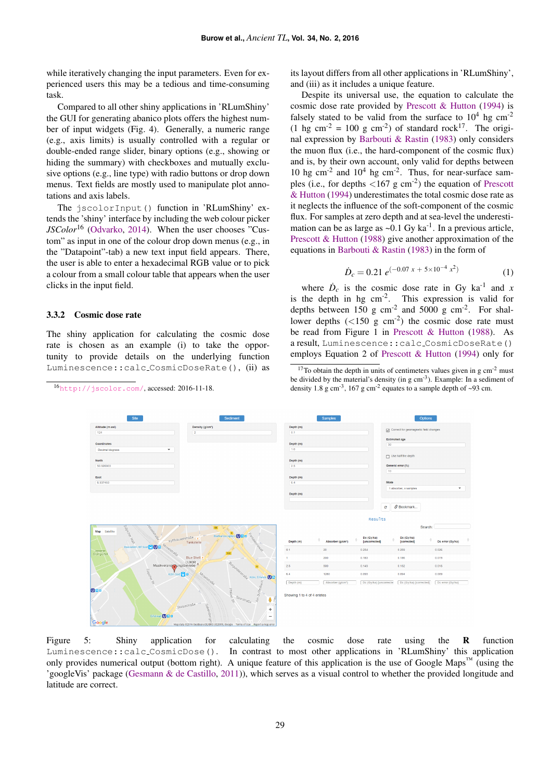while iteratively changing the input parameters. Even for experienced users this may be a tedious and time-consuming task.

Compared to all other shiny applications in 'RLumShiny' the GUI for generating abanico plots offers the highest number of input widgets (Fig. [4\)](#page-6-1). Generally, a numeric range (e.g., axis limits) is usually controlled with a regular or double-ended range slider, binary options (e.g., showing or hiding the summary) with checkboxes and mutually exclusive options (e.g., line type) with radio buttons or drop down menus. Text fields are mostly used to manipulate plot annotations and axis labels.

The jscolorInput() function in 'RLumShiny' extends the 'shiny' interface by including the web colour picker *JSColor*[16](#page-7-1) [\(Odvarko,](#page-10-18) [2014\)](#page-10-18). When the user chooses "Custom" as input in one of the colour drop down menus (e.g., in the "Datapoint"-tab) a new text input field appears. There, the user is able to enter a hexadecimal RGB value or to pick a colour from a small colour table that appears when the user clicks in the input field.

#### <span id="page-7-0"></span>3.3.2 Cosmic dose rate

The shiny application for calculating the cosmic dose rate is chosen as an example (i) to take the opportunity to provide details on the underlying function Luminescence::calc CosmicDoseRate(), (ii) as

<span id="page-7-3"></span><span id="page-7-1"></span><sup>16</sup><http://jscolor.com/>, accessed: 2016-11-18.

its layout differs from all other applications in 'RLumShiny', and (iii) as it includes a unique feature.

Despite its universal use, the equation to calculate the cosmic dose rate provided by [Prescott & Hutton](#page-10-19) [\(1994\)](#page-10-19) is falsely stated to be valid from the surface to  $10^4$  hg cm<sup>-2</sup> (1 hg cm<sup>-2</sup> = 100 g cm<sup>-2</sup>) of standard rock<sup>[17](#page-7-2)</sup>. The original expression by [Barbouti & Rastin](#page-9-19) [\(1983\)](#page-9-19) only considers the muon flux (i.e., the hard-component of the cosmic flux) and is, by their own account, only valid for depths between 10 hg cm<sup>-2</sup> and  $10^4$  hg cm<sup>-2</sup>. Thus, for near-surface samples (i.e., for depths  $\langle 167 \text{ g cm}^2 \rangle$ ) the equation of [Prescott](#page-10-19) [& Hutton](#page-10-19) [\(1994\)](#page-10-19) underestimates the total cosmic dose rate as it neglects the influence of the soft-component of the cosmic flux. For samples at zero depth and at sea-level the underestimation can be as large as  $\sim 0.1$  Gy ka<sup>-1</sup>. In a previous article, [Prescott & Hutton](#page-10-20) [\(1988\)](#page-10-20) give another approximation of the equations in [Barbouti & Rastin](#page-9-19) [\(1983\)](#page-9-19) in the form of

$$
\dot{D}_c = 0.21 \ e^{(-0.07 \ x + 5 \times 10^{-4} \ x^2)} \tag{1}
$$

where  $\dot{D}_c$  is the cosmic dose rate in Gy ka<sup>-1</sup> and *x* is the depth in hg cm-2. This expression is valid for depths between  $150 \text{ g cm}^{-2}$  and  $5000 \text{ g cm}^{-2}$ . For shallower depths  $(<150 \text{ g cm}^{-2})$  the cosmic dose rate must be read from Figure 1 in [Prescott & Hutton](#page-10-20) [\(1988\)](#page-10-20). As a result, Luminescence::calc CosmicDoseRate() employs Equation 2 of [Prescott & Hutton](#page-10-19) [\(1994\)](#page-10-19) only for

| Site                                 | Sediment                                                |                             | Samples                       |                             | Options                               |                  |
|--------------------------------------|---------------------------------------------------------|-----------------------------|-------------------------------|-----------------------------|---------------------------------------|------------------|
| Altitude (m asl)<br>124              | Density (g/cm <sup>+</sup> )<br>$\sqrt{2}$              | Depth (m)<br>0.1            |                               |                             | Correct for geomagnetic field changes |                  |
|                                      |                                                         |                             |                               |                             | <b>Estimated age</b>                  |                  |
| Coordinates                          |                                                         | Depth (m)                   |                               | 30                          |                                       |                  |
| Decimal degrees<br>۰                 |                                                         | 1.0                         |                               |                             |                                       |                  |
|                                      |                                                         |                             |                               |                             | $\Box$ Use half the depth             |                  |
| <b>North</b>                         |                                                         | Depth (m)                   |                               |                             |                                       |                  |
| 50.926903                            |                                                         | 2.5                         |                               | 10                          | General error (%)                     |                  |
| East                                 |                                                         | Depth (m)                   |                               |                             |                                       |                  |
| 6.937453                             |                                                         | 6.4                         |                               |                             | Mode                                  |                  |
|                                      |                                                         |                             |                               |                             | 1 absorber, x samples                 | ٠                |
|                                      |                                                         | Depth (m)                   |                               |                             |                                       |                  |
|                                      |                                                         |                             |                               |                             |                                       |                  |
|                                      |                                                         |                             |                               | ø                           | S Bookmark                            |                  |
|                                      |                                                         |                             |                               |                             |                                       |                  |
|                                      |                                                         |                             |                               | <b>Results</b>              |                                       |                  |
| Collaboration Rates<br>esseries de   | 55                                                      |                             |                               |                             | Search:                               |                  |
| Satellite<br>Map                     | Des<br>Barbarossaplat                                   |                             |                               |                             |                                       |                  |
|                                      | <b>Rentaleonswall</b><br>Kyffhäuserstraße<br>Tankstelle | Depth (m)                   | Absorber (g/cm <sup>2</sup> ) | De (Gy/ka)<br>[uncorrected] | Dc (Gy/ka)<br>[corrected]             | Dc error (Gy/ka) |
| Moselstraße<br>Dasselstr./Bf Sud C O |                                                         |                             |                               |                             |                                       |                  |
| Innerer<br>Grüngürtel                |                                                         | 0.1<br>20                   |                               | 0.254                       | 0.259                                 | 0.026            |
|                                      | <b>Blue Shell</b>                                       | 200<br>$\mathbf{1}$         |                               | 0.183                       | 0.186                                 | 0.019            |
| LUXOR<br>Musikveranst Jungsbetriebe  | Burguntering <sub>e</sub> Köln, Eifelstr. 00            | 2.5<br>500                  |                               | 0.149                       | 0.152                                 | 0.015            |
| zune <sup>Ber</sup> eit              | Köln Süd B B<br>Moselstaße                              | 6.4<br>1280                 |                               | 0.093                       | 0.094                                 | 0.009            |
|                                      |                                                         | Depth (m)                   | Absorber (g/cm <sup>3</sup> ) | Dc (Gy/ka) [uncorrecte]     | Dc (Gy/ka) [corrected]                | Dc error (Gy/ka) |
|                                      |                                                         |                             |                               |                             |                                       |                  |
| 088                                  | Am Duffesbach<br>pfälzer <sup>98</sup>                  | Showing 1 to 4 of 4 entries |                               |                             |                                       |                  |
|                                      | $s_{a_{diff}}$<br>ê                                     |                             |                               |                             |                                       |                  |
|                                      | Stolzestraße                                            |                             |                               |                             |                                       |                  |
|                                      | ÷                                                       |                             |                               |                             |                                       |                  |
| Eifelwall <b>U</b> a B<br>Google     | Gabelsberger<br>$\overline{\phantom{a}}$                |                             |                               |                             |                                       |                  |
|                                      |                                                         |                             |                               |                             |                                       |                  |

Figure 5: Shiny application for calculating the cosmic dose rate using the **R** function Luminescence::calc CosmicDose(). In contrast to most other applications in 'RLumShiny' this application only provides numerical output (bottom right). A unique feature of this application is the use of Google Maps<sup>™</sup> (using the 'googleVis' package [\(Gesmann & de Castillo,](#page-9-20) [2011\)](#page-9-20)), which serves as a visual control to whether the provided longitude and latitude are correct.

<span id="page-7-2"></span> $17$ To obtain the depth in units of centimeters values given in g cm<sup>-2</sup> must be divided by the material's density (in  $g \text{ cm}^{-3}$ ). Example: In a sediment of density 1.8 g cm<sup>-3</sup>, 167 g cm<sup>-2</sup> equates to a sample depth of  $\sim$ 93 cm.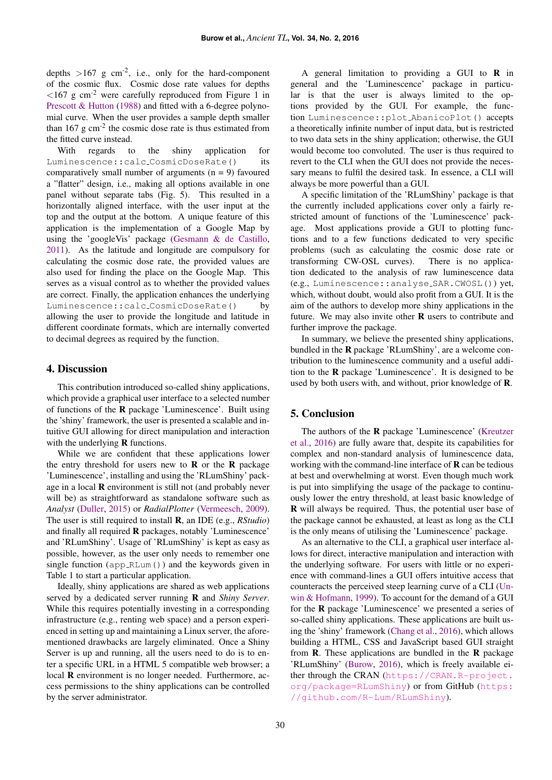depths  $>167$  g cm<sup>-2</sup>, i.e., only for the hard-component of the cosmic flux. Cosmic dose rate values for depths  $\langle 167 \text{ g cm}^{-2}$  were carefully reproduced from Figure 1 in [Prescott & Hutton](#page-10-20) [\(1988\)](#page-10-20) and fitted with a 6-degree polynomial curve. When the user provides a sample depth smaller than  $167 \text{ g cm}^{-2}$  the cosmic dose rate is thus estimated from the fitted curve instead.

With regards to the shiny application for Luminescence::calc\_CosmicDoseRate() its comparatively small number of arguments  $(n = 9)$  favoured a "flatter" design, i.e., making all options available in one panel without separate tabs (Fig. [5\)](#page-7-3). This resulted in a horizontally aligned interface, with the user input at the top and the output at the bottom. A unique feature of this application is the implementation of a Google Map by using the 'googleVis' package [\(Gesmann & de Castillo,](#page-9-20) [2011\)](#page-9-20). As the latitude and longitude are compulsory for calculating the cosmic dose rate, the provided values are also used for finding the place on the Google Map. This serves as a visual control as to whether the provided values are correct. Finally, the application enhances the underlying Luminescence::calc\_CosmicDoseRate() by allowing the user to provide the longitude and latitude in different coordinate formats, which are internally converted to decimal degrees as required by the function.

# 4. Discussion

This contribution introduced so-called shiny applications, which provide a graphical user interface to a selected number of functions of the R package 'Luminescence'. Built using the 'shiny' framework, the user is presented a scalable and intuitive GUI allowing for direct manipulation and interaction with the underlying **R** functions.

While we are confident that these applications lower the entry threshold for users new to  $\bf{R}$  or the  $\bf{R}$  package 'Luminescence', installing and using the 'RLumShiny' package in a local R environment is still not (and probably never will be) as straightforward as standalone software such as *Analyst* [\(Duller,](#page-9-14) [2015\)](#page-9-14) or *RadialPlotter* [\(Vermeesch,](#page-10-21) [2009\)](#page-10-21). The user is still required to install R, an IDE (e.g., *RStudio*) and finally all required R packages, notably 'Luminescence' and 'RLumShiny'. Usage of 'RLumShiny' is kept as easy as possible, however, as the user only needs to remember one single function (app RLum()) and the keywords given in Table [1](#page-2-0) to start a particular application.

Ideally, shiny applications are shared as web applications served by a dedicated server running R and *Shiny Server*. While this requires potentially investing in a corresponding infrastructure (e.g., renting web space) and a person experienced in setting up and maintaining a Linux server, the aforementioned drawbacks are largely eliminated. Once a Shiny Server is up and running, all the users need to do is to enter a specific URL in a HTML 5 compatible web browser; a local **R** environment is no longer needed. Furthermore, access permissions to the shiny applications can be controlled by the server administrator.

A general limitation to providing a GUI to R in general and the 'Luminescence' package in particular is that the user is always limited to the options provided by the GUI. For example, the function Luminescence::plot AbanicoPlot() accepts a theoretically infinite number of input data, but is restricted to two data sets in the shiny application; otherwise, the GUI would become too convoluted. The user is thus required to revert to the CLI when the GUI does not provide the necessary means to fulfil the desired task. In essence, a CLI will always be more powerful than a GUI.

A specific limitation of the 'RLumShiny' package is that the currently included applications cover only a fairly restricted amount of functions of the 'Luminescence' package. Most applications provide a GUI to plotting functions and to a few functions dedicated to very specific problems (such as calculating the cosmic dose rate or transforming CW-OSL curves). There is no application dedicated to the analysis of raw luminescence data (e.g., Luminescence::analyse SAR.CWOSL()) yet, which, without doubt, would also profit from a GUI. It is the aim of the authors to develop more shiny applications in the future. We may also invite other  **users to contribute and** further improve the package.

In summary, we believe the presented shiny applications, bundled in the R package 'RLumShiny', are a welcome contribution to the luminescence community and a useful addition to the R package 'Luminescence'. It is designed to be used by both users with, and without, prior knowledge of R.

## 5. Conclusion

The authors of the R package 'Luminescence' [\(Kreutzer](#page-10-22) [et al.,](#page-10-22) [2016\)](#page-10-22) are fully aware that, despite its capabilities for complex and non-standard analysis of luminescence data, working with the command-line interface of R can be tedious at best and overwhelming at worst. Even though much work is put into simplifying the usage of the package to continuously lower the entry threshold, at least basic knowledge of R will always be required. Thus, the potential user base of the package cannot be exhausted, at least as long as the CLI is the only means of utilising the 'Luminescence' package.

As an alternative to the CLI, a graphical user interface allows for direct, interactive manipulation and interaction with the underlying software. For users with little or no experience with command-lines a GUI offers intuitive access that counteracts the perceived steep learning curve of a CLI [\(Un](#page-10-5)[win & Hofmann,](#page-10-5) [1999\)](#page-10-5). To account for the demand of a GUI for the R package 'Luminescence' we presented a series of so-called shiny applications. These applications are built using the 'shiny' framework [\(Chang et al.,](#page-9-12) [2016\)](#page-9-12), which allows building a HTML, CSS and JavaScript based GUI straight from  $R$ . These applications are bundled in the  $R$  package 'RLumShiny' [\(Burow,](#page-9-6) [2016\)](#page-9-6), which is freely available either through the CRAN ([https://CRAN.R-project.](https://CRAN.R-project.org/package=RLumShiny) [org/package=RLumShiny](https://CRAN.R-project.org/package=RLumShiny)) or from GitHub ([https:](https://github.com/R-Lum/RLumShiny) [//github.com/R-Lum/RLumShiny](https://github.com/R-Lum/RLumShiny)).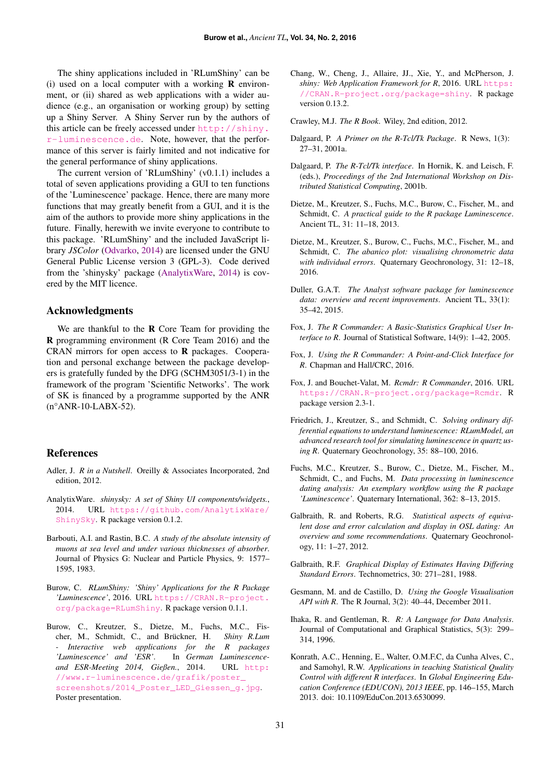The shiny applications included in 'RLumShiny' can be (i) used on a local computer with a working  **environ**ment, or (ii) shared as web applications with a wider audience (e.g., an organisation or working group) by setting up a Shiny Server. A Shiny Server run by the authors of this article can be freely accessed under [http://shiny.](http://shiny.r-luminescence.de) [r-luminescence.de](http://shiny.r-luminescence.de). Note, however, that the performance of this server is fairly limited and not indicative for the general performance of shiny applications.

The current version of 'RLumShiny' (v0.1.1) includes a total of seven applications providing a GUI to ten functions of the 'Luminescence' package. Hence, there are many more functions that may greatly benefit from a GUI, and it is the aim of the authors to provide more shiny applications in the future. Finally, herewith we invite everyone to contribute to this package. 'RLumShiny' and the included JavaScript library *JSColor* [\(Odvarko,](#page-10-18) [2014\)](#page-10-18) are licensed under the GNU General Public License version 3 (GPL-3). Code derived from the 'shinysky' package [\(AnalytixWare,](#page-9-21) [2014\)](#page-9-21) is covered by the MIT licence.

# Acknowledgments

We are thankful to the  $R$  Core Team for providing the R programming environment (R Core Team 2016) and the CRAN mirrors for open access to R packages. Cooperation and personal exchange between the package developers is gratefully funded by the DFG (SCHM3051/3-1) in the framework of the program 'Scientific Networks'. The work of SK is financed by a programme supported by the ANR (n°ANR-10-LABX-52).

## References

- <span id="page-9-3"></span>Adler, J. *R in a Nutshell*. Oreilly & Associates Incorporated, 2nd edition, 2012.
- <span id="page-9-21"></span>AnalytixWare. *shinysky: A set of Shiny UI components/widgets.*, 2014. URL [https://github.com/AnalytixWare/](https://github.com/AnalytixWare/ShinySky) [ShinySky](https://github.com/AnalytixWare/ShinySky). R package version 0.1.2.
- <span id="page-9-19"></span>Barbouti, A.I. and Rastin, B.C. *A study of the absolute intensity of muons at sea level and under various thicknesses of absorber*. Journal of Physics G: Nuclear and Particle Physics, 9: 1577– 1595, 1983.
- <span id="page-9-6"></span>Burow, C. *RLumShiny: 'Shiny' Applications for the R Package 'Luminescence'*, 2016. URL [https://CRAN.R-project.](https://CRAN.R-project.org/package=RLumShiny) [org/package=RLumShiny](https://CRAN.R-project.org/package=RLumShiny). R package version 0.1.1.
- <span id="page-9-15"></span>Burow, C., Kreutzer, S., Dietze, M., Fuchs, M.C., Fischer, M., Schmidt, C., and Brückner, H. Shiny R.Lum *- Interactive web applications for the R packages 'Luminescence' and 'ESR'*. In *German Luminescenceand ESR-Meeting 2014, Gießen.*, 2014. URL [http:](http://www.r-luminescence.de/grafik/poster_screenshots/2014_Poster_LED_Giessen_g.jpg) [//www.r-luminescence.de/grafik/poster\\_](http://www.r-luminescence.de/grafik/poster_screenshots/2014_Poster_LED_Giessen_g.jpg) [screenshots/2014\\_Poster\\_LED\\_Giessen\\_g.jpg](http://www.r-luminescence.de/grafik/poster_screenshots/2014_Poster_LED_Giessen_g.jpg). Poster presentation.
- <span id="page-9-12"></span>Chang, W., Cheng, J., Allaire, JJ., Xie, Y., and McPherson, J. *shiny: Web Application Framework for R*, 2016. URL [https:](https://CRAN.R-project.org/package=shiny) [//CRAN.R-project.org/package=shiny](https://CRAN.R-project.org/package=shiny). R package version 0.13.2.
- <span id="page-9-4"></span>Crawley, M.J. *The R Book*. Wiley, 2nd edition, 2012.
- <span id="page-9-7"></span>Dalgaard, P. *A Primer on the R-Tcl/Tk Package*. R News, 1(3): 27–31, 2001a.
- <span id="page-9-8"></span>Dalgaard, P. *The R-Tcl/Tk interface*. In Hornik, K. and Leisch, F. (eds.), *Proceedings of the 2nd International Workshop on Distributed Statistical Computing*, 2001b.
- <span id="page-9-1"></span>Dietze, M., Kreutzer, S., Fuchs, M.C., Burow, C., Fischer, M., and Schmidt, C. *A practical guide to the R package Luminescence*. Ancient TL, 31: 11–18, 2013.
- <span id="page-9-5"></span>Dietze, M., Kreutzer, S., Burow, C., Fuchs, M.C., Fischer, M., and Schmidt, C. *The abanico plot: visualising chronometric data with individual errors*. Quaternary Geochronology, 31: 12–18, 2016.
- <span id="page-9-14"></span>Duller, G.A.T. *The Analyst software package for luminescence data: overview and recent improvements*. Ancient TL, 33(1): 35–42, 2015.
- <span id="page-9-9"></span>Fox, J. *The R Commander: A Basic-Statistics Graphical User Interface to R*. Journal of Statistical Software, 14(9): 1–42, 2005.
- <span id="page-9-10"></span>Fox, J. *Using the R Commander: A Point-and-Click Interface for R*. Chapman and Hall/CRC, 2016.
- <span id="page-9-13"></span>Fox, J. and Bouchet-Valat, M. *Rcmdr: R Commander*, 2016. URL <https://CRAN.R-project.org/package=Rcmdr>. R package version 2.3-1.
- <span id="page-9-16"></span>Friedrich, J., Kreutzer, S., and Schmidt, C. *Solving ordinary differential equations to understand luminescence: RLumModel, an advanced research tool for simulating luminescence in quartz using R*. Quaternary Geochronology, 35: 88–100, 2016.
- <span id="page-9-2"></span>Fuchs, M.C., Kreutzer, S., Burow, C., Dietze, M., Fischer, M., Schmidt, C., and Fuchs, M. *Data processing in luminescence dating analysis: An exemplary workflow using the R package 'Luminescence'*. Quaternary International, 362: 8–13, 2015.
- <span id="page-9-18"></span>Galbraith, R. and Roberts, R.G. *Statistical aspects of equivalent dose and error calculation and display in OSL dating: An overview and some recommendations*. Quaternary Geochronology, 11: 1–27, 2012.
- <span id="page-9-17"></span>Galbraith, R.F. *Graphical Display of Estimates Having Differing Standard Errors*. Technometrics, 30: 271–281, 1988.
- <span id="page-9-20"></span>Gesmann, M. and de Castillo, D. *Using the Google Visualisation API with R*. The R Journal, 3(2): 40–44, December 2011.
- <span id="page-9-0"></span>Ihaka, R. and Gentleman, R. *R: A Language for Data Analysis*. Journal of Computational and Graphical Statistics, 5(3): 299– 314, 1996.
- <span id="page-9-11"></span>Konrath, A.C., Henning, E., Walter, O.M.F.C, da Cunha Alves, C., and Samohyl, R.W. *Applications in teaching Statistical Quality Control with different R interfaces*. In *Global Engineering Education Conference (EDUCON), 2013 IEEE*, pp. 146–155, March 2013. doi: 10.1109/EduCon.2013.6530099.